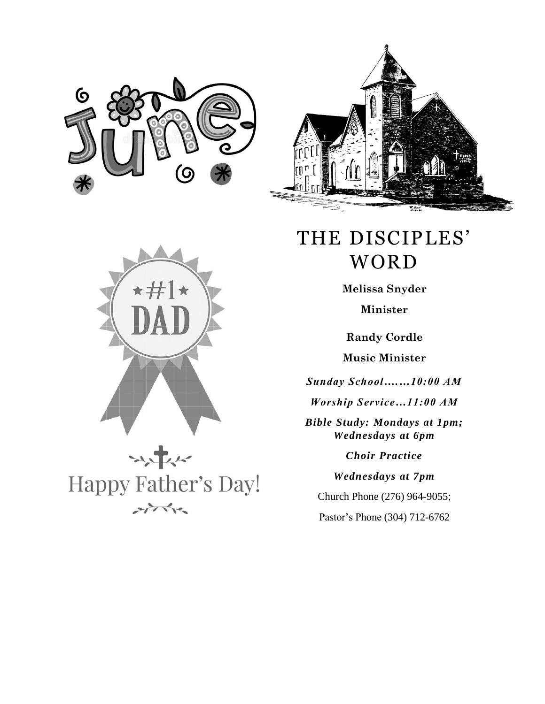







## THE DISCIPLES' WORD

**Melissa Snyder Minister**

**Randy Cordle**

**Music Minister**

*Sunday School….…10:00 AM*

*Worship Service…11:00 AM*

*Bible Study: Mondays at 1pm; Wednesdays at 6pm*

*Choir Practice*

*Wednesdays at 7pm*

Church Phone (276) 964-9055;

Pastor's Phone (304) 712-6762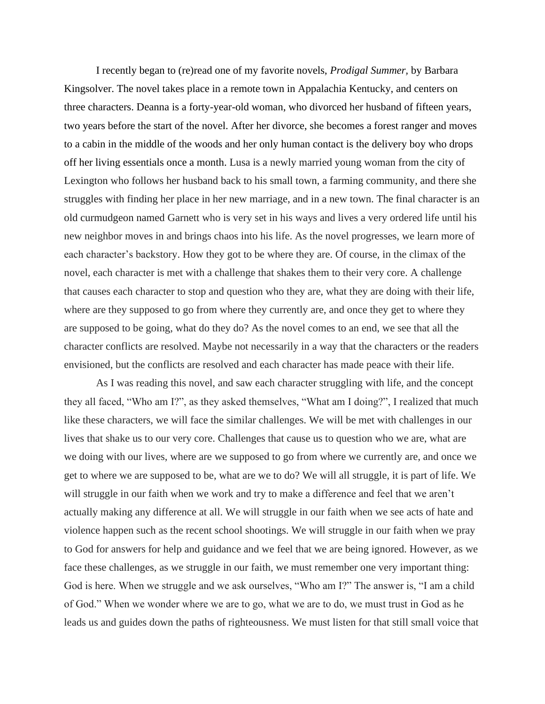I recently began to (re)read one of my favorite novels, *Prodigal Summer,* by Barbara Kingsolver. The novel takes place in a remote town in Appalachia Kentucky, and centers on three characters. Deanna is a forty-year-old woman, who divorced her husband of fifteen years, two years before the start of the novel. After her divorce, she becomes a forest ranger and moves to a cabin in the middle of the woods and her only human contact is the delivery boy who drops off her living essentials once a month. Lusa is a newly married young woman from the city of Lexington who follows her husband back to his small town, a farming community, and there she struggles with finding her place in her new marriage, and in a new town. The final character is an old curmudgeon named Garnett who is very set in his ways and lives a very ordered life until his new neighbor moves in and brings chaos into his life. As the novel progresses, we learn more of each character's backstory. How they got to be where they are. Of course, in the climax of the novel, each character is met with a challenge that shakes them to their very core. A challenge that causes each character to stop and question who they are, what they are doing with their life, where are they supposed to go from where they currently are, and once they get to where they are supposed to be going, what do they do? As the novel comes to an end, we see that all the character conflicts are resolved. Maybe not necessarily in a way that the characters or the readers envisioned, but the conflicts are resolved and each character has made peace with their life.

As I was reading this novel, and saw each character struggling with life, and the concept they all faced, "Who am I?", as they asked themselves, "What am I doing?", I realized that much like these characters, we will face the similar challenges. We will be met with challenges in our lives that shake us to our very core. Challenges that cause us to question who we are, what are we doing with our lives, where are we supposed to go from where we currently are, and once we get to where we are supposed to be, what are we to do? We will all struggle, it is part of life. We will struggle in our faith when we work and try to make a difference and feel that we aren't actually making any difference at all. We will struggle in our faith when we see acts of hate and violence happen such as the recent school shootings. We will struggle in our faith when we pray to God for answers for help and guidance and we feel that we are being ignored. However, as we face these challenges, as we struggle in our faith, we must remember one very important thing: God is here. When we struggle and we ask ourselves, "Who am I?" The answer is, "I am a child of God." When we wonder where we are to go, what we are to do, we must trust in God as he leads us and guides down the paths of righteousness. We must listen for that still small voice that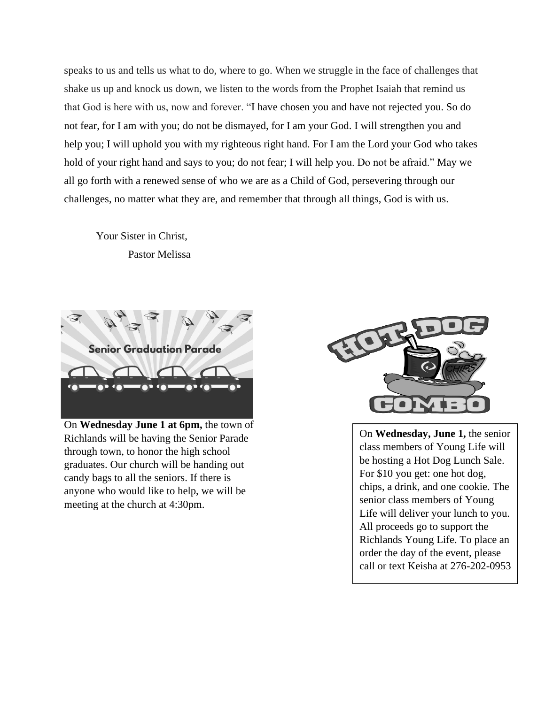speaks to us and tells us what to do, where to go. When we struggle in the face of challenges that shake us up and knock us down, we listen to the words from the Prophet Isaiah that remind us that God is here with us, now and forever. "I have chosen you and have not rejected you. So do not fear, for I am with you; do not be dismayed, for I am your God. I will strengthen you and help you; I will uphold you with my righteous right hand. For I am the Lord your God who takes hold of your right hand and says to you; do not fear; I will help you. Do not be afraid." May we all go forth with a renewed sense of who we are as a Child of God, persevering through our challenges, no matter what they are, and remember that through all things, God is with us.

Your Sister in Christ, Pastor Melissa



On **Wednesday June 1 at 6pm,** the town of Richlands will be having the Senior Parade through town, to honor the high school graduates. Our church will be handing out candy bags to all the seniors. If there is anyone who would like to help, we will be meeting at the church at 4:30pm.



On **Wednesday, June 1,** the senior class members of Young Life will be hosting a Hot Dog Lunch Sale. For \$10 you get: one hot dog, chips, a drink, and one cookie. The senior class members of Young Life will deliver your lunch to you. All proceeds go to support the Richlands Young Life. To place an order the day of the event, please call or text Keisha at 276-202-0953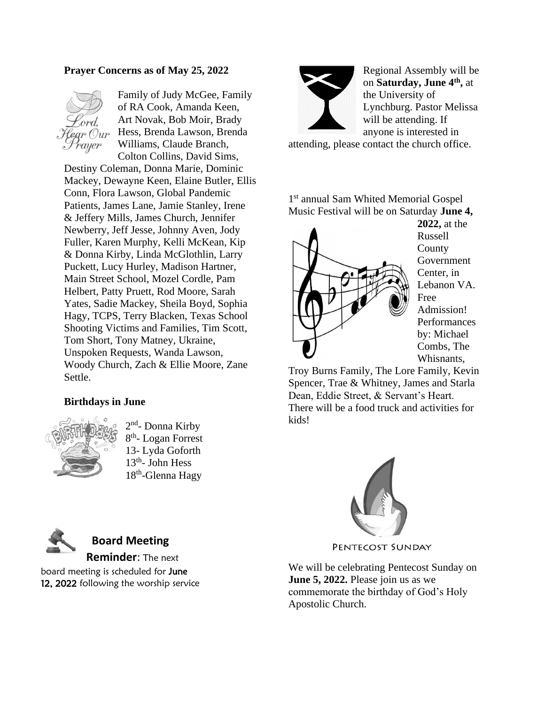## **Prayer Concerns as of May 25, 2022**



Family of Judy McGee, Family of RA Cook, Amanda Keen, Art Novak, Bob Moir, Brady Hess, Brenda Lawson, Brenda Williams, Claude Branch, Colton Collins, David Sims,

Destiny Coleman, Donna Marie, Dominic Mackey, Dewayne Keen, Elaine Butler, Ellis Conn, Flora Lawson, Global Pandemic Patients, James Lane, Jamie Stanley, Irene & Jeffery Mills, James Church, Jennifer Newberry, Jeff Jesse, Johnny Aven, Jody Fuller, Karen Murphy, Kelli McKean, Kip & Donna Kirby, Linda McGlothlin, Larry Puckett, Lucy Hurley, Madison Hartner, Main Street School, Mozel Cordle, Pam Helbert, Patty Pruett, Rod Moore, Sarah Yates, Sadie Mackey, Sheila Boyd, Sophia Hagy, TCPS, Terry Blacken, Texas School Shooting Victims and Families, Tim Scott, Tom Short, Tony Matney, Ukraine, Unspoken Requests, Wanda Lawson, Woody Church, Zach & Ellie Moore, Zane Settle.

## **Birthdays in June**



2<sup>nd</sup>- Donna Kirby 8<sup>th</sup>- Logan Forrest 13- Lyda Goforth 13<sup>th</sup>- John Hess 18<sup>th</sup>-Glenna Hagy



Regional Assembly will be on **Saturday, June 4th ,** at the University of Lynchburg. Pastor Melissa will be attending. If anyone is interested in

attending, please contact the church office.

1 st annual Sam Whited Memorial Gospel Music Festival will be on Saturday **June 4,** 



**2022,** at the Russell County Government Center, in Lebanon VA. Free Admission! **Performances** by: Michael Combs, The Whisnants,

Troy Burns Family, The Lore Family, Kevin Spencer, Trae & Whitney, James and Starla Dean, Eddie Street, & Servant's Heart. There will be a food truck and activities for kids!



PENTECOST SUNDAY

We will be celebrating Pentecost Sunday on **June 5, 2022.** Please join us as we commemorate the birthday of God's Holy Apostolic Church.



## **Board Meeting**

**Reminder**: The next board meeting is scheduled for June 12, 2022 following the worship service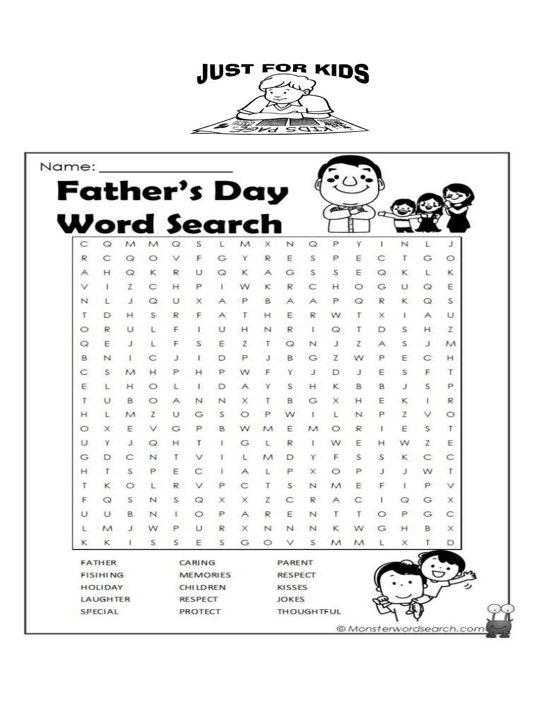

| Name:               |               |   |                           |                 |        |   |                                   |                |        |         |                 |             |   |   |              |                         |
|---------------------|---------------|---|---------------------------|-----------------|--------|---|-----------------------------------|----------------|--------|---------|-----------------|-------------|---|---|--------------|-------------------------|
| <b>Father's Day</b> |               |   |                           |                 |        |   |                                   |                |        |         |                 |             |   |   |              |                         |
|                     |               |   |                           |                 |        |   |                                   |                |        |         | <b>SOLUTION</b> |             |   |   |              |                         |
| Word Search         |               |   |                           |                 |        |   |                                   |                |        |         |                 |             |   |   |              |                         |
|                     |               |   |                           |                 |        |   |                                   |                |        |         |                 |             |   |   |              |                         |
| C                   | Q             | М | M                         | Q               | S      |   |                                   |                | N      | $\circ$ | P               | Y           | 1 | N | L            | J                       |
| R                   |               |   | O                         | $\checkmark$    |        | G |                                   | R              | Е      | S       | Р               | Ε           | C | т | G            | O                       |
| Α                   |               | O | κ                         | R               | U      | Q | κ                                 | Α              | G      | S       | S               | Ε           | Q | κ | L            | κ                       |
| v                   |               | 7 | С                         | н               | P      |   | w                                 | κ              | R      | С       | н               | O           | G | U | Q            | Ε                       |
| N                   |               |   | $\circ$                   | υ               | ×      | А | Ρ                                 | B              | А      | А       | Ρ               | Q           | R | κ | Q            | S                       |
| т                   | D             | н | S                         | R               | F      | Α |                                   | н              | E      | R       | w               | Т           | x | ı | Α            | U                       |
| $\circ$             | R             |   |                           | F               |        | U | н                                 | N              | R      |         | Q               | Т           | D | S | H.           | Z                       |
| Q                   | F             |   |                           | F               | S      | Ε | z                                 | т              | Q      | N       | Л               | z           | А | S | $\mathbf{J}$ | M                       |
| B                   | N             |   |                           | J               |        | Ð | Ρ                                 | Л              | в      | G       | z               | w           | Ρ | Ε | C            | н                       |
| C                   | S             | M |                           | ₽               |        |   |                                   | F              | Y.     | J       | D               | л           | Ε | S | F            | Т                       |
| Ε                   |               |   |                           |                 |        |   |                                   |                | S      | н       | κ               | B           | B | з | S            | P                       |
| Т                   | U             | B |                           | А               | N      | N | ×                                 | т              | B      | G       | X               | н           | Ε | к | ÷            | R                       |
| н                   |               |   | Z                         | υ               | G      | S | O                                 | P              | w      |         |                 | $\mathbb N$ | Р | Ζ | v            | $\circ$                 |
| $\circ$             | x             |   |                           | G               | Р      | в | w                                 | M              | Ε      | M       |                 | R           |   | Ε | S            | т                       |
| U                   | Y             |   | Q                         | н               |        |   | G                                 |                | R      |         | w               | Ε           | н | w | Ζ            | Ε                       |
| G                   | D             |   | N                         | Τ               |        |   |                                   | М              | D      | Υ       | F               | S           | S | к | С            | С                       |
| н                   | Т             | S |                           | Ε               | C      |   |                                   | Ł              | Р      | ×       |                 | P           | J | з | w            | Т                       |
| Т                   | κ             |   |                           | R               |        | ₽ | C                                 | т              | S      | N       | M               | Ε           | F |   | P            | v                       |
| F                   | O             | s | N                         | S               | Q      | × | ×                                 | z              | C      | R       |                 | C           |   | Q | G            | ×                       |
| U                   |               | в |                           |                 | O      | P | А                                 | R              | Ε      | N       | т               | т           | O | Ρ | G            | C                       |
| Ŀ                   | M             |   |                           | Ρ               |        | R | ×                                 | N              | N      | N       | κ               | w           | G | н | B            | $\times$                |
| к                   | κ             |   | S                         | S               | Ε      | S | G                                 | O              | v      | S       | M               | M           |   | х | Т            | D                       |
|                     | <b>FATHER</b> |   |                           |                 | CARING |   |                                   |                | PARENT |         |                 |             |   |   |              |                         |
| <b>FISIHING</b>     |               |   |                           | <b>MEMORIES</b> |        |   |                                   | <b>RESPECT</b> |        |         |                 |             |   |   |              |                         |
| <b>HOLIDAY</b>      |               |   |                           | <b>CHILDREN</b> |        |   |                                   | KISSES         |        |         |                 |             |   |   |              |                         |
| LAUGHTER<br>SPECIAL |               |   | <b>RESPECT</b><br>PROTECT |                 |        |   | <b>JOKES</b><br><b>THOUGHTFUL</b> |                |        |         |                 |             |   |   |              |                         |
|                     |               |   |                           |                 |        |   |                                   |                |        |         |                 |             |   |   |              | © Monsterwordsearch.com |